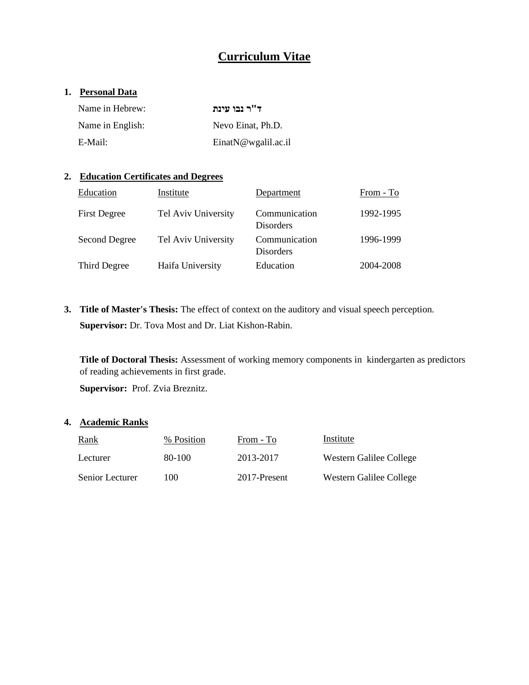# **Curriculum Vitae**

## **1. Personal Data**

| Name in Hebrew:  | ד"ר נבו עינת            |
|------------------|-------------------------|
| Name in English: | Nevo Einat, Ph.D.       |
| E-Mail:          | Einat $N@$ wgalil.ac.il |

## **2. Education Certificates and Degrees**

| Education           | Institute           | Department                        | From - To |
|---------------------|---------------------|-----------------------------------|-----------|
| <b>First Degree</b> | Tel Aviv University | Communication<br><b>Disorders</b> | 1992-1995 |
| Second Degree       | Tel Aviv University | Communication<br><b>Disorders</b> | 1996-1999 |
| Third Degree        | Haifa University    | Education                         | 2004-2008 |

**3. Title of Master's Thesis:** The effect of context on the auditory and visual speech perception. **Supervisor:** Dr. Tova Most and Dr. Liat Kishon-Rabin.

**Title of Doctoral Thesis:** Assessment of working memory components inkindergarten as predictors of reading achievements in first grade.

**Supervisor:** Prof. Zvia Breznitz.

### **4. Academic Ranks**

| <b>Rank</b>     | % Position | From - To    | Institute               |
|-----------------|------------|--------------|-------------------------|
| Lecturer        | 80-100     | 2013-2017    | Western Galilee College |
| Senior Lecturer | 100        | 2017-Present | Western Galilee College |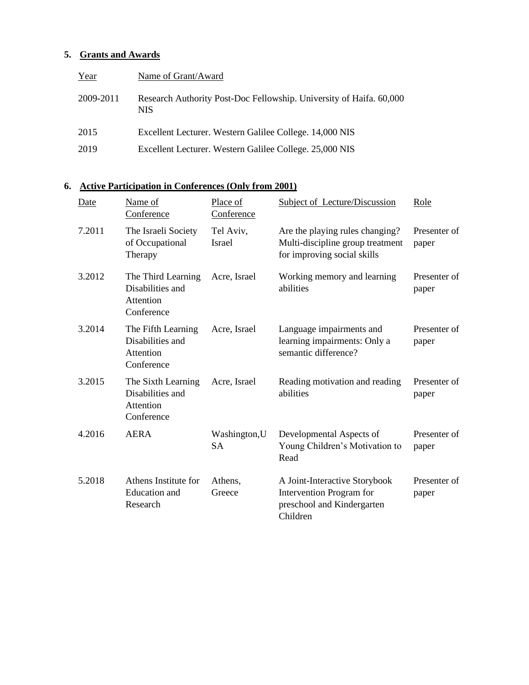## **5. Grants and Awards**

| Year      | Name of Grant/Award                                                               |
|-----------|-----------------------------------------------------------------------------------|
| 2009-2011 | Research Authority Post-Doc Fellowship. University of Haifa. 60,000<br><b>NIS</b> |
| 2015      | Excellent Lecturer. Western Galilee College. 14,000 NIS                           |
| 2019      | Excellent Lecturer. Western Galilee College. 25,000 NIS                           |

## **6. Active Participation in Conferences (Only from 2001)**

| Date   | Name of<br>Conference                                             | Place of<br>Conference     | <b>Subject of Lecture/Discussion</b>                                                                | Role                  |
|--------|-------------------------------------------------------------------|----------------------------|-----------------------------------------------------------------------------------------------------|-----------------------|
| 7.2011 | The Israeli Society<br>of Occupational<br>Therapy                 | Tel Aviv,<br><b>Israel</b> | Are the playing rules changing?<br>Multi-discipline group treatment<br>for improving social skills  | Presenter of<br>paper |
| 3.2012 | The Third Learning<br>Disabilities and<br>Attention<br>Conference | Acre, Israel               | Working memory and learning<br>abilities                                                            | Presenter of<br>paper |
| 3.2014 | The Fifth Learning<br>Disabilities and<br>Attention<br>Conference | Acre, Israel               | Language impairments and<br>learning impairments: Only a<br>semantic difference?                    | Presenter of<br>paper |
| 3.2015 | The Sixth Learning<br>Disabilities and<br>Attention<br>Conference | Acre, Israel               | Reading motivation and reading<br>abilities                                                         | Presenter of<br>paper |
| 4.2016 | <b>AERA</b>                                                       | Washington, U<br><b>SA</b> | Developmental Aspects of<br>Young Children's Motivation to<br>Read                                  | Presenter of<br>paper |
| 5.2018 | Athens Institute for<br><b>Education</b> and<br>Research          | Athens,<br>Greece          | A Joint-Interactive Storybook<br>Intervention Program for<br>preschool and Kindergarten<br>Children | Presenter of<br>paper |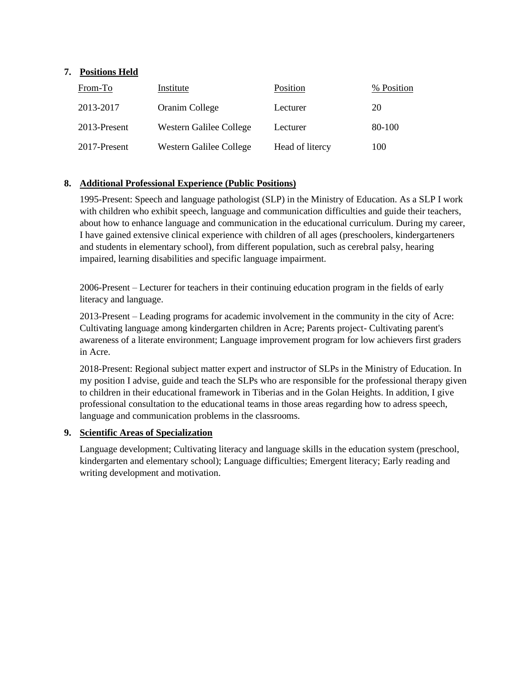## **7. Positions Held**

| From-To      | Institute               | Position        | % Position |
|--------------|-------------------------|-----------------|------------|
| 2013-2017    | Oranim College          | Lecturer        | 20         |
| 2013-Present | Western Galilee College | Lecturer        | 80-100     |
| 2017-Present | Western Galilee College | Head of litercy | 100        |

## **8. Additional Professional Experience (Public Positions)**

1995-Present: Speech and language pathologist (SLP) in the Ministry of Education. As a SLP I work with children who exhibit speech, language and communication difficulties and guide their teachers, about how to enhance language and communication in the educational curriculum. During my career, I have gained extensive clinical experience with children of all ages (preschoolers, kindergarteners and students in elementary school), from different population, such as cerebral palsy, hearing impaired, learning disabilities and specific language impairment.

2006-Present – Lecturer for teachers in their continuing education program in the fields of early literacy and language.

2013-Present – Leading programs for academic involvement in the community in the city of Acre: Cultivating language among kindergarten children in Acre; Parents project- Cultivating parent's awareness of a literate environment; Language improvement program for low achievers first graders in Acre.

2018-Present: Regional subject matter expert and instructor of SLPs in the Ministry of Education. In my position I advise, guide and teach the SLPs who are responsible for the professional therapy given to children in their educational framework in Tiberias and in the Golan Heights. In addition, I give professional consultation to the educational teams in those areas regarding how to adress speech, language and communication problems in the classrooms.

## **9. Scientific Areas of Specialization**

Language development; Cultivating literacy and language skills in the education system (preschool, kindergarten and elementary school); Language difficulties; Emergent literacy; Early reading and writing development and motivation.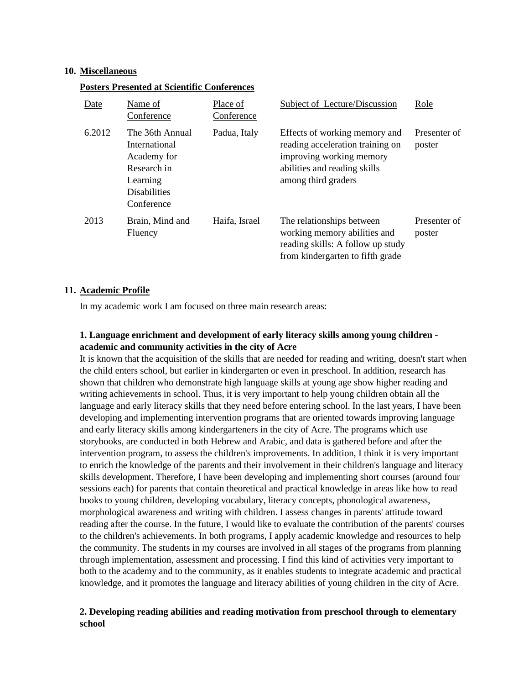#### **10. Miscellaneous**

#### **Posters Presented at Scientific Conferences**

| Date   | Name of<br>Conference                                                                                           | Place of<br>Conference | Subject of Lecture/Discussion                                                                                                                        | Role                   |
|--------|-----------------------------------------------------------------------------------------------------------------|------------------------|------------------------------------------------------------------------------------------------------------------------------------------------------|------------------------|
| 6.2012 | The 36th Annual<br>International<br>Academy for<br>Research in<br>Learning<br><b>Disabilities</b><br>Conference | Padua, Italy           | Effects of working memory and<br>reading acceleration training on<br>improving working memory<br>abilities and reading skills<br>among third graders | Presenter of<br>poster |
| 2013   | Brain, Mind and<br>Fluency                                                                                      | Haifa, Israel          | The relationships between<br>working memory abilities and<br>reading skills: A follow up study<br>from kindergarten to fifth grade                   | Presenter of<br>poster |

#### **11. Academic Profile**

In my academic work I am focused on three main research areas:

## **1. Language enrichment and development of early literacy skills among young children academic and community activities in the city of Acre**

It is known that the acquisition of the skills that are needed for reading and writing, doesn't start when the child enters school, but earlier in kindergarten or even in preschool. In addition, research has shown that children who demonstrate high language skills at young age show higher reading and writing achievements in school. Thus, it is very important to help young children obtain all the language and early literacy skills that they need before entering school. In the last years, I have been developing and implementing intervention programs that are oriented towards improving language and early literacy skills among kindergarteners in the city of Acre. The programs which use storybooks, are conducted in both Hebrew and Arabic, and data is gathered before and after the intervention program, to assess the children's improvements. In addition, I think it is very important to enrich the knowledge of the parents and their involvement in their children's language and literacy skills development. Therefore, I have been developing and implementing short courses (around four sessions each) for parents that contain theoretical and practical knowledge in areas like how to read books to young children, developing vocabulary, literacy concepts, phonological awareness, morphological awareness and writing with children. I assess changes in parents' attitude toward reading after the course. In the future, I would like to evaluate the contribution of the parents' courses to the children's achievements. In both programs, I apply academic knowledge and resources to help the community. The students in my courses are involved in all stages of the programs from planning through implementation, assessment and processing. I find this kind of activities very important to both to the academy and to the community, as it enables students to integrate academic and practical knowledge, and it promotes the language and literacy abilities of young children in the city of Acre.

## **2. Developing reading abilities and reading motivation from preschool through to elementary school**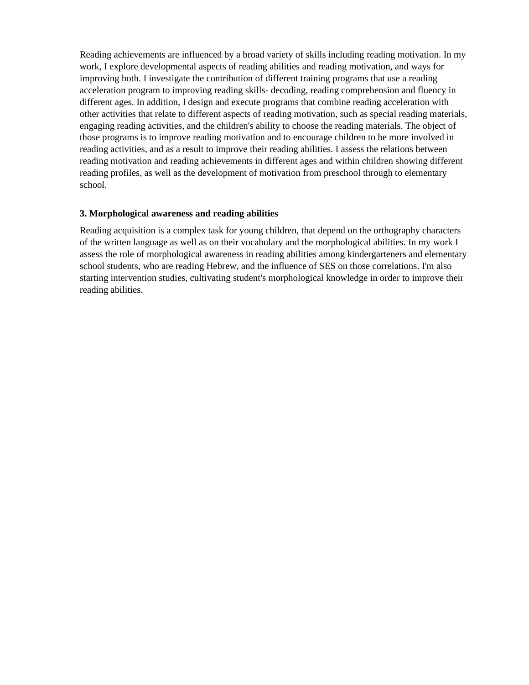Reading achievements are influenced by a broad variety of skills including reading motivation. In my work, I explore developmental aspects of reading abilities and reading motivation, and ways for improving both. I investigate the contribution of different training programs that use a reading acceleration program to improving reading skills- decoding, reading comprehension and fluency in different ages. In addition, I design and execute programs that combine reading acceleration with other activities that relate to different aspects of reading motivation, such as special reading materials, engaging reading activities, and the children's ability to choose the reading materials. The object of those programs is to improve reading motivation and to encourage children to be more involved in reading activities, and as a result to improve their reading abilities. I assess the relations between reading motivation and reading achievements in different ages and within children showing different reading profiles, as well as the development of motivation from preschool through to elementary school.

### **3. Morphological awareness and reading abilities**

Reading acquisition is a complex task for young children, that depend on the orthography characters of the written language as well as on their vocabulary and the morphological abilities. In my work I assess the role of morphological awareness in reading abilities among kindergarteners and elementary school students, who are reading Hebrew, and the influence of SES on those correlations. I'm also starting intervention studies, cultivating student's morphological knowledge in order to improve their reading abilities.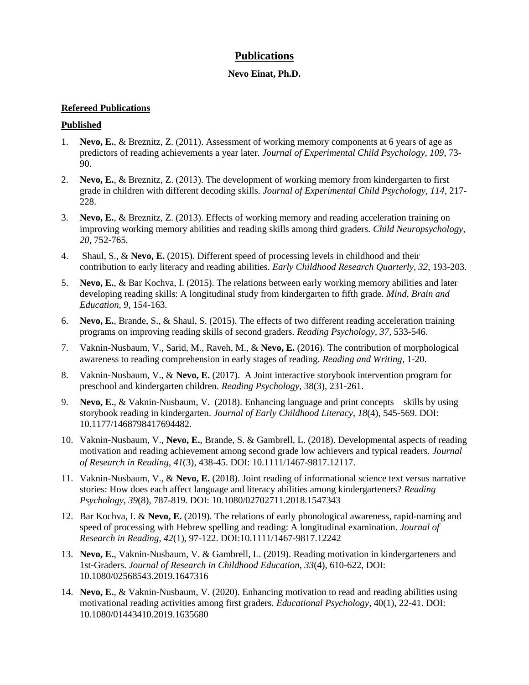## **Publications**

## **Nevo Einat, Ph.D.**

## **Refereed Publications**

### **Published**

- 1. **Nevo, E.**, & Breznitz, Z. (2011). Assessment of working memory components at 6 years of age as predictors of reading achievements a year later. *Journal of Experimental Child Psychology, 109*, 73- 90.
- 2. **Nevo, E.**, & Breznitz, Z. (2013). The development of working memory from kindergarten to first grade in children with different decoding skills. *Journal of Experimental Child Psychology, 114,* 217- 228.
- 3. **Nevo, E.**, & Breznitz, Z. (2013). Effects of working memory and reading acceleration training on improving working memory abilities and reading skills among third graders*. Child Neuropsychology, 20,* 752-765.
- 4. Shaul, S., & **Nevo, E.** (2015). Different speed of processing levels in childhood and their contribution to early literacy and reading abilities. *Early Childhood Research Quarterly, 32*, 193-203.
- 5. **Nevo, E.**, & Bar Kochva, I. (2015). The relations between early working memory abilities and later developing reading skills: A longitudinal study from kindergarten to fifth grade. *Mind, Brain and Education, 9*, 154-163.
- 6. **Nevo, E.**, Brande, S., & Shaul, S. (2015). The effects of two different reading acceleration training programs on improving reading skills of second graders. *Reading Psychology, 37,* 533-546.
- 7. Vaknin-Nusbaum, V., Sarid, M., Raveh, M., & **Nevo, E.** (2016). The contribution of morphological awareness to reading comprehension in early stages of reading. *Reading and Writing*, 1-20.
- 8. Vaknin-Nusbaum, V., & **Nevo, E.** (2017). A Joint interactive storybook intervention program for preschool and kindergarten children. *Reading Psychology*, 38(3), 231-261.
- 9. **Nevo, E.**, & Vaknin-Nusbaum, V. (2018). Enhancing language and print concepts skills by using storybook reading in kindergarten. *Journal of Early Childhood Literacy*, *18*(4), 545-569. DOI: 10.1177/1468798417694482.
- 10. Vaknin-Nusbaum, V., **Nevo, E.**, Brande, S. & Gambrell, L. (2018). Developmental aspects of reading motivation and reading achievement among second grade low achievers and typical readers. *Journal of Research in Reading*, *41*(3), 438-45. DOI: 10.1111/1467-9817.12117.
- 11. Vaknin-Nusbaum, V., & **Nevo, E.** (2018). Joint reading of informational science text versus narrative stories: How does each affect language and literacy abilities among kindergarteners? *Reading Psychology*, *39*(8)*,* 787-819. DOI: 10.1080/02702711.2018.1547343
- 12. Bar Kochva, I. & **Nevo, E.** (2019). The relations of early phonological awareness, rapid-naming and speed of processing with Hebrew spelling and reading: A longitudinal examination. *Journal of Research in Reading*, *42*(1), 97-122. DOI:10.1111/1467-9817.12242
- 13. **Nevo, E.**, Vaknin-Nusbaum, V. & Gambrell, L. (2019). Reading motivation in kindergarteners and 1st-Graders. *Journal of Research in Childhood Education*, *33*(4), 610-622, DOI: 10.1080/02568543.2019.1647316
- 14. **Nevo, E.**, & Vaknin-Nusbaum, V. (2020). Enhancing motivation to read and reading abilities using motivational reading activities among first graders. *Educational Psychology*, 40(1), 22-41. DOI: 10.1080/01443410.2019.1635680